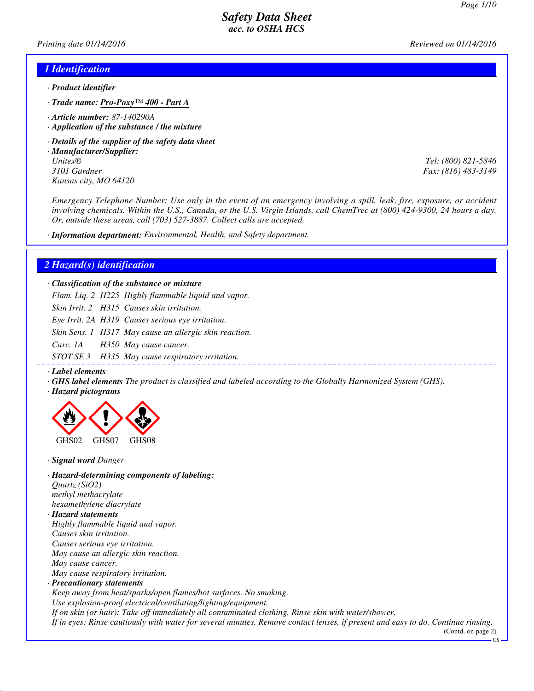*Printing date 01/14/2016 Reviewed on 01/14/2016*

#### *1 Identification*

- *· Product identifier*
- *· Trade name: Pro-Poxy™ 400 Part A*
- *· Article number: 87-140290A*
- *· Application of the substance / the mixture*
- *· Details of the supplier of the safety data sheet*
- *· Manufacturer/Supplier: Unitex® Tel: (800) 821-5846 3101 Gardner Fax: (816) 483-3149 Kansas city, MO 64120*

*Emergency Telephone Number: Use only in the event of an emergency involving a spill, leak, fire, exposure, or accident involving chemicals. Within the U.S., Canada, or the U.S. Virgin Islands, call ChemTrec at (800) 424-9300, 24 hours a day. Or, outside these areas, call (703) 527-3887. Collect calls are accepted.*

*· Information department: Environmental, Health, and Safety department.*

#### *2 Hazard(s) identification*

*· Classification of the substance or mixture*

*Flam. Liq. 2 H225 Highly flammable liquid and vapor.*

*Skin Irrit. 2 H315 Causes skin irritation.*

*Eye Irrit. 2A H319 Causes serious eye irritation.*

*Skin Sens. 1 H317 May cause an allergic skin reaction.*

*Carc. 1A H350 May cause cancer.*

*STOT SE 3 H335 May cause respiratory irritation.*

#### *· Label elements*

- *· GHS label elements The product is classified and labeled according to the Globally Harmonized System (GHS).*
- *· Hazard pictograms*



*· Signal word Danger*

*· Hazard-determining components of labeling: Quartz (SiO2) methyl methacrylate*

*hexamethylene diacrylate · Hazard statements*

*Highly flammable liquid and vapor. Causes skin irritation. Causes serious eye irritation. May cause an allergic skin reaction. May cause cancer.*

*May cause respiratory irritation.*

#### *· Precautionary statements*

*Keep away from heat/sparks/open flames/hot surfaces. No smoking. Use explosion-proof electrical/ventilating/lighting/equipment. If on skin (or hair): Take off immediately all contaminated clothing. Rinse skin with water/shower. If in eyes: Rinse cautiously with water for several minutes. Remove contact lenses, if present and easy to do. Continue rinsing.*

(Contd. on page 2)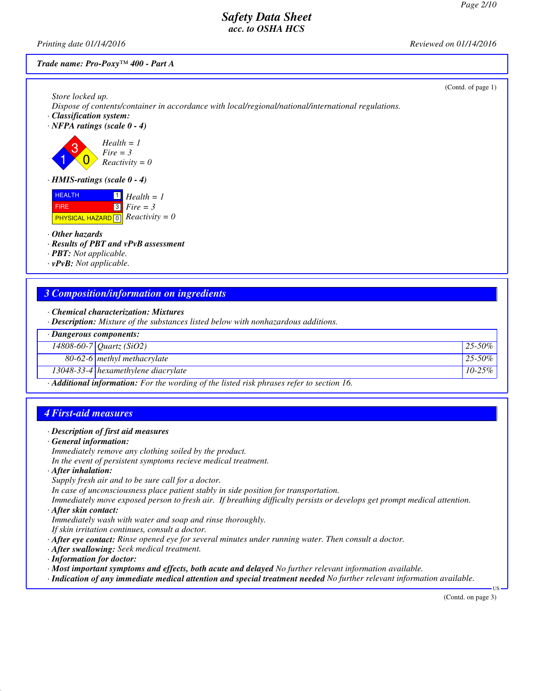*Printing date 01/14/2016 Reviewed on 01/14/2016*

#### *Trade name: Pro-Poxy™ 400 - Part A*

| Store locked up.                                                                                                         | (Contd. of page 1) |
|--------------------------------------------------------------------------------------------------------------------------|--------------------|
| Dispose of contents/container in accordance with local/regional/national/international regulations.                      |                    |
| · Classification system:<br>$\cdot$ NFPA ratings (scale 0 - 4)                                                           |                    |
| $Health = 1$<br>$Fire = 3$<br>$Reactivity = 0$                                                                           |                    |
| $\cdot$ HMIS-ratings (scale 0 - 4)                                                                                       |                    |
| <b>HEALTH</b><br>$Health = 1$<br>$3$ Fire = 3<br><b>FIRE</b><br><b>PHYSICAL HAZARD</b> $\boxed{0}$ <i>Reactivity</i> = 0 |                    |
| $\cdot$ Other hazards                                                                                                    |                    |
| · Results of PBT and vPvB assessment<br>· <b>PBT</b> : Not applicable.                                                   |                    |
| $\cdot$ vPvB: Not applicable.                                                                                            |                    |
|                                                                                                                          |                    |
| 3 Composition/information on ingredients                                                                                 |                    |

- *· Chemical characterization: Mixtures*
- *· Description: Mixture of the substances listed below with nonhazardous additions.*

| $\cdot$ Dangerous components: |                                                                                                        |             |
|-------------------------------|--------------------------------------------------------------------------------------------------------|-------------|
|                               | 14808-60-7 Quartz (SiO2)                                                                               | $25 - 50\%$ |
|                               | $80-62-6$ methyl methacrylate                                                                          | $25 - 50\%$ |
|                               | 13048-33-4 hexamethylene diacrylate                                                                    | $10-25\%$   |
|                               | $\cdot$ <b>Additional information:</b> For the wording of the listed risk phrases refer to section 16. |             |

### *4 First-aid measures*

#### *· Description of first aid measures*

*· General information:*

*Immediately remove any clothing soiled by the product.*

*In the event of persistent symptoms recieve medical treatment.*

*· After inhalation:*

*Supply fresh air and to be sure call for a doctor. In case of unconsciousness place patient stably in side position for transportation. Immediately move exposed person to fresh air. If breathing difficulty persists or develops get prompt medical attention.*

#### *· After skin contact:*

*Immediately wash with water and soap and rinse thoroughly.*

*If skin irritation continues, consult a doctor.*

- *· After eye contact: Rinse opened eye for several minutes under running water. Then consult a doctor.*
- *· After swallowing: Seek medical treatment.*
- *· Information for doctor:*
- *· Most important symptoms and effects, both acute and delayed No further relevant information available.*
- *· Indication of any immediate medical attention and special treatment needed No further relevant information available.*

(Contd. on page 3)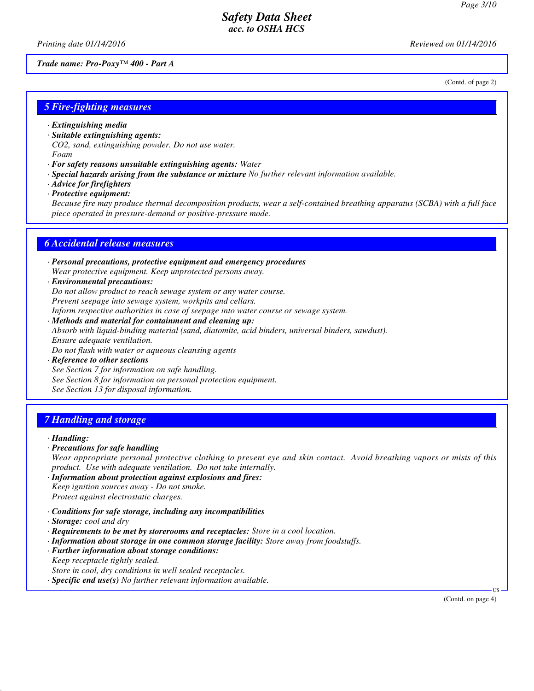(Contd. of page 2)

# *Safety Data Sheet acc. to OSHA HCS*

*Printing date 01/14/2016 Reviewed on 01/14/2016*

#### *Trade name: Pro-Poxy™ 400 - Part A*

*5 Fire-fighting measures*

- *· Extinguishing media*
- *· Suitable extinguishing agents:*
- *CO2, sand, extinguishing powder. Do not use water. Foam*
- *· For safety reasons unsuitable extinguishing agents: Water*
- *· Special hazards arising from the substance or mixture No further relevant information available.*
- *· Advice for firefighters*
- *· Protective equipment:*

*Because fire may produce thermal decomposition products, wear a self-contained breathing apparatus (SCBA) with a full face piece operated in pressure-demand or positive-pressure mode.*

#### *6 Accidental release measures*

- *· Personal precautions, protective equipment and emergency procedures Wear protective equipment. Keep unprotected persons away.*
- *· Environmental precautions:*

*Do not allow product to reach sewage system or any water course.*

*Prevent seepage into sewage system, workpits and cellars.*

*Inform respective authorities in case of seepage into water course or sewage system.*

- *· Methods and material for containment and cleaning up: Absorb with liquid-binding material (sand, diatomite, acid binders, universal binders, sawdust). Ensure adequate ventilation. Do not flush with water or aqueous cleansing agents*
- *· Reference to other sections See Section 7 for information on safe handling. See Section 8 for information on personal protection equipment. See Section 13 for disposal information.*

#### *7 Handling and storage*

#### *· Handling:*

*· Precautions for safe handling*

*Wear appropriate personal protective clothing to prevent eye and skin contact. Avoid breathing vapors or mists of this product. Use with adequate ventilation. Do not take internally.*

- *· Information about protection against explosions and fires: Keep ignition sources away - Do not smoke. Protect against electrostatic charges.*
- *· Conditions for safe storage, including any incompatibilities*
- *· Storage: cool and dry*
- *· Requirements to be met by storerooms and receptacles: Store in a cool location.*
- *· Information about storage in one common storage facility: Store away from foodstuffs.*
- *· Further information about storage conditions: Keep receptacle tightly sealed. Store in cool, dry conditions in well sealed receptacles.*
- *· Specific end use(s) No further relevant information available.*

(Contd. on page 4)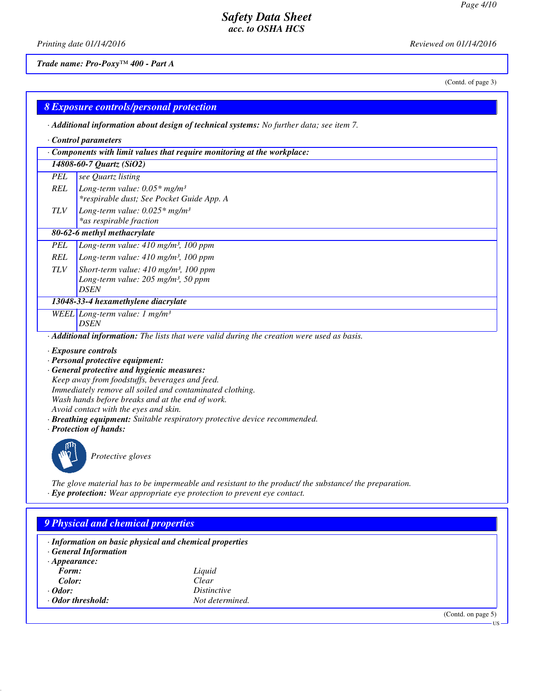(Contd. of page 3)

US

# *Safety Data Sheet acc. to OSHA HCS*

*Printing date 01/14/2016 Reviewed on 01/14/2016*

*Trade name: Pro-Poxy™ 400 - Part A*

### *8 Exposure controls/personal protection*

*· Additional information about design of technical systems: No further data; see item 7.*

| Control parameters |                                                                                                          |  |  |
|--------------------|----------------------------------------------------------------------------------------------------------|--|--|
|                    | $\cdot$ Components with limit values that require monitoring at the workplace:                           |  |  |
|                    | 14808-60-7 Quartz (SiO2)                                                                                 |  |  |
| <b>PEL</b>         | see Quartz listing                                                                                       |  |  |
| REL                | Long-term value: $0.05*$ mg/m <sup>3</sup>                                                               |  |  |
|                    | *respirable dust; See Pocket Guide App. A                                                                |  |  |
| <b>TLV</b>         | Long-term value: $0.025*$ mg/m <sup>3</sup>                                                              |  |  |
|                    | *as respirable fraction                                                                                  |  |  |
|                    | 80-62-6 methyl methacrylate                                                                              |  |  |
| PEL                | Long-term value: $410$ mg/m <sup>3</sup> , 100 ppm                                                       |  |  |
| REL                | Long-term value: $410 \text{ mg/m}^3$ , 100 ppm                                                          |  |  |
| <b>TLV</b>         | Short-term value: $410 \text{ mg/m}^3$ , 100 ppm                                                         |  |  |
|                    | Long-term value: $205$ mg/m <sup>3</sup> , 50 ppm                                                        |  |  |
|                    | <b>DSEN</b>                                                                                              |  |  |
|                    | 13048-33-4 hexamethylene diacrylate                                                                      |  |  |
|                    | WEEL Long-term value: 1 mg/m <sup>3</sup>                                                                |  |  |
|                    | <b>DSEN</b>                                                                                              |  |  |
|                    | $\cdot$ <b>Additional information:</b> The lists that were valid during the creation were used as basis. |  |  |
|                    | · Exposure controls                                                                                      |  |  |

- *· Personal protective equipment:*
- *· General protective and hygienic measures:*

*Keep away from foodstuffs, beverages and feed. Immediately remove all soiled and contaminated clothing. Wash hands before breaks and at the end of work. Avoid contact with the eyes and skin.*

- *· Breathing equipment: Suitable respiratory protective device recommended.*
- *· Protection of hands:*



*Protective gloves*

*The glove material has to be impermeable and resistant to the product/ the substance/ the preparation. · Eye protection: Wear appropriate eye protection to prevent eye contact.*

# *9 Physical and chemical properties*

| · Information on basic physical and chemical properties |                    |                       |
|---------------------------------------------------------|--------------------|-----------------------|
| <b>General Information</b>                              |                    |                       |
| $\cdot$ Appearance:                                     |                    |                       |
| Form:                                                   | Liquid             |                       |
| Color:                                                  | Clear              |                       |
| $\cdot$ Odor:                                           | <i>Distinctive</i> |                       |
| ⋅ Odor threshold:                                       | Not determined.    |                       |
|                                                         |                    | (Contd. on page $5$ ) |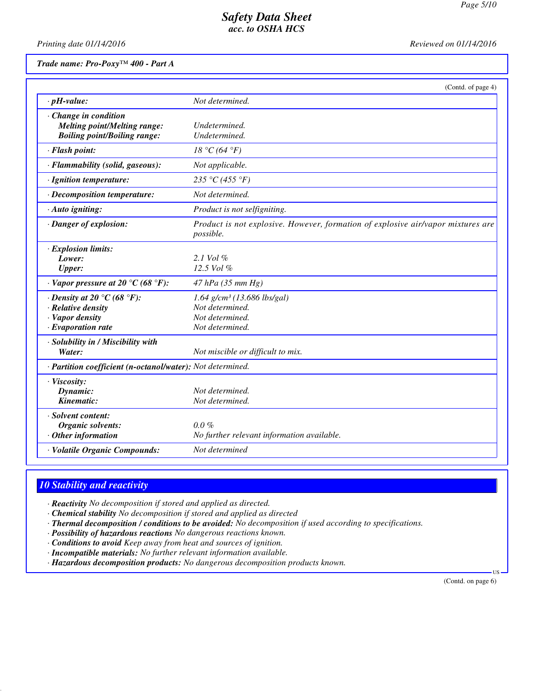*Printing date 01/14/2016 Reviewed on 01/14/2016*

#### *Trade name: Pro-Poxy™ 400 - Part A*

|                                                                                                        | (Contd. of page 4)                                                                                 |
|--------------------------------------------------------------------------------------------------------|----------------------------------------------------------------------------------------------------|
| $\cdot$ pH-value:                                                                                      | Not determined.                                                                                    |
| · Change in condition<br><b>Melting point/Melting range:</b><br><b>Boiling point/Boiling range:</b>    | Undetermined.<br>Undetermined.                                                                     |
| · Flash point:                                                                                         | $18 °C$ (64 °F)                                                                                    |
| · Flammability (solid, gaseous):                                                                       | Not applicable.                                                                                    |
| · Ignition temperature:                                                                                | 235 °C (455 °F)                                                                                    |
| · Decomposition temperature:                                                                           | Not determined.                                                                                    |
| $\cdot$ Auto igniting:                                                                                 | Product is not selfigniting.                                                                       |
| · Danger of explosion:                                                                                 | Product is not explosive. However, formation of explosive air/vapor mixtures are<br>possible.      |
| · Explosion limits:<br>Lower:<br><b>Upper:</b>                                                         | 2.1 Vol $%$<br>12.5 Vol %                                                                          |
| $\cdot$ Vapor pressure at 20 °C (68 °F):                                                               | $47$ hPa (35 mm Hg)                                                                                |
| $\cdot$ Density at 20 °C (68 °F):<br>· Relative density<br>· Vapor density<br>$\cdot$ Evaporation rate | $1.64$ g/cm <sup>3</sup> (13.686 lbs/gal)<br>Not determined.<br>Not determined.<br>Not determined. |
| · Solubility in / Miscibility with<br>Water:                                                           | Not miscible or difficult to mix.                                                                  |
| · Partition coefficient (n-octanol/water): Not determined.                                             |                                                                                                    |
| · Viscosity:<br>Dynamic:<br>Kinematic:                                                                 | Not determined.<br>Not determined.                                                                 |
| · Solvent content:<br>Organic solvents:<br>$\cdot$ Other information                                   | $0.0 \%$<br>No further relevant information available.                                             |
| · Volatile Organic Compounds:                                                                          | Not determined                                                                                     |

### *10 Stability and reactivity*

*· Reactivity No decomposition if stored and applied as directed.*

- *· Chemical stability No decomposition if stored and applied as directed*
- *· Thermal decomposition / conditions to be avoided: No decomposition if used according to specifications.*
- *· Possibility of hazardous reactions No dangerous reactions known.*
- *· Conditions to avoid Keep away from heat and sources of ignition.*
- *· Incompatible materials: No further relevant information available.*
- *· Hazardous decomposition products: No dangerous decomposition products known.*

(Contd. on page 6)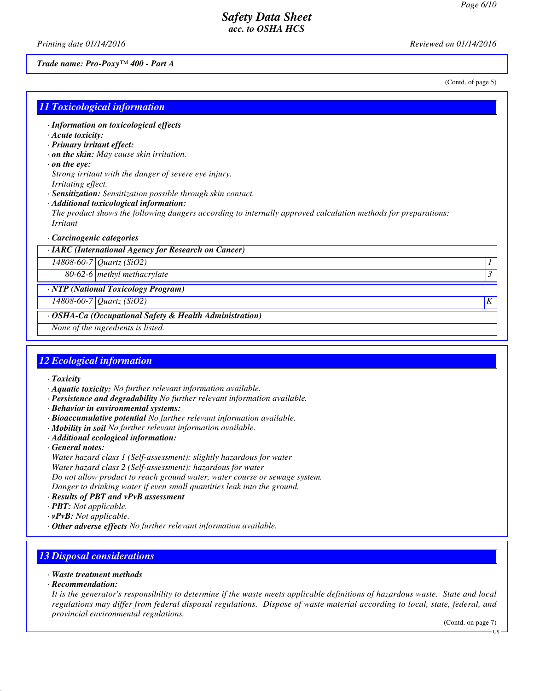*Printing date 01/14/2016 Reviewed on 01/14/2016*

#### *Trade name: Pro-Poxy™ 400 - Part A*

(Contd. of page 5)

#### *11 Toxicological information*

- *· Information on toxicological effects*
- *· Acute toxicity:*
- *· Primary irritant effect:*
- *· on the skin: May cause skin irritation.*
- *· on the eye:*

*Strong irritant with the danger of severe eye injury.*

- *Irritating effect.*
- *· Sensitization: Sensitization possible through skin contact.*
- *· Additional toxicological information: The product shows the following dangers according to internally approved calculation methods for preparations: Irritant*
- *· Carcinogenic categories*
- *· IARC (International Agency for Research on Cancer)*

*14808-60-7 Quartz (SiO2) 1* 

*80-62-6 methyl methacrylate 3* 

#### *· NTP (National Toxicology Program)*

*14808-60-7 Quartz (SiO2) K* 

### *· OSHA-Ca (Occupational Safety & Health Administration)*

*None of the ingredients is listed.*

#### *12 Ecological information*

- *· Toxicity*
- *· Aquatic toxicity: No further relevant information available.*
- *· Persistence and degradability No further relevant information available.*
- *· Behavior in environmental systems:*
- *· Bioaccumulative potential No further relevant information available.*
- *· Mobility in soil No further relevant information available.*
- *· Additional ecological information:*
- *· General notes:*

*Water hazard class 1 (Self-assessment): slightly hazardous for water Water hazard class 2 (Self-assessment): hazardous for water Do not allow product to reach ground water, water course or sewage system. Danger to drinking water if even small quantities leak into the ground.*

- *· Results of PBT and vPvB assessment*
- *· PBT: Not applicable.*
- *· vPvB: Not applicable.*
- *· Other adverse effects No further relevant information available.*

#### *13 Disposal considerations*

- *· Waste treatment methods*
- *· Recommendation:*

*It is the generator's responsibility to determine if the waste meets applicable definitions of hazardous waste. State and local regulations may differ from federal disposal regulations. Dispose of waste material according to local, state, federal, and provincial environmental regulations.*

(Contd. on page 7)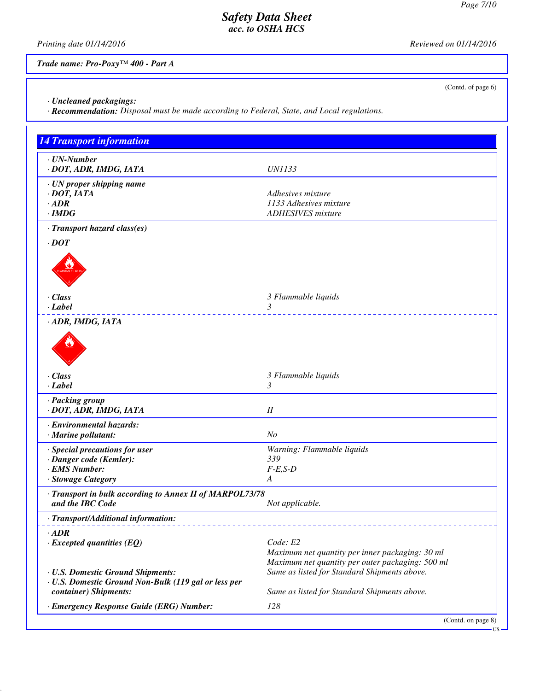(Contd. of page 6)

# *Safety Data Sheet acc. to OSHA HCS*

*Printing date 01/14/2016 Reviewed on 01/14/2016*

*Trade name: Pro-Poxy™ 400 - Part A*

*· Uncleaned packagings:*

*· Recommendation: Disposal must be made according to Federal, State, and Local regulations.*

| <b>14 Transport information</b>                                                                                    |                                                                                                                 |
|--------------------------------------------------------------------------------------------------------------------|-----------------------------------------------------------------------------------------------------------------|
| $\cdot$ UN-Number<br>· DOT, ADR, IMDG, IATA                                                                        | <b>UN1133</b>                                                                                                   |
| · UN proper shipping name<br>$\cdot$ DOT, IATA<br>$\cdot$ ADR<br>$\cdot$ IMDG                                      | Adhesives mixture<br>1133 Adhesives mixture<br><b>ADHESIVES</b> mixture                                         |
| · Transport hazard class(es)<br>$\cdot$ DOT                                                                        |                                                                                                                 |
| · Class<br>· Label                                                                                                 | 3 Flammable liquids<br>3                                                                                        |
| · ADR, IMDG, IATA                                                                                                  |                                                                                                                 |
| · Class<br>$\cdot$ Label                                                                                           | 3 Flammable liquids<br>3                                                                                        |
| · Packing group<br>· DOT, ADR, IMDG, IATA                                                                          | $I\!I$                                                                                                          |
| · Environmental hazards:<br>· Marine pollutant:                                                                    | N <sub>O</sub>                                                                                                  |
| · Special precautions for user<br>· Danger code (Kemler):<br>· EMS Number:<br>· Stowage Category                   | Warning: Flammable liquids<br>339<br>$F-E,S-D$<br>A                                                             |
| · Transport in bulk according to Annex II of MARPOL73/78<br>and the IBC Code                                       | Not applicable.                                                                                                 |
| · Transport/Additional information:                                                                                |                                                                                                                 |
| $\cdot$ ADR<br>$\cdot$ Excepted quantities (EQ)                                                                    | Code: E2<br>Maximum net quantity per inner packaging: 30 ml<br>Maximum net quantity per outer packaging: 500 ml |
| · U.S. Domestic Ground Shipments:<br>· U.S. Domestic Ground Non-Bulk (119 gal or less per<br>container) Shipments: | Same as listed for Standard Shipments above.<br>Same as listed for Standard Shipments above.                    |
| · Emergency Response Guide (ERG) Number:                                                                           | 128<br>(Contd. on page 8)                                                                                       |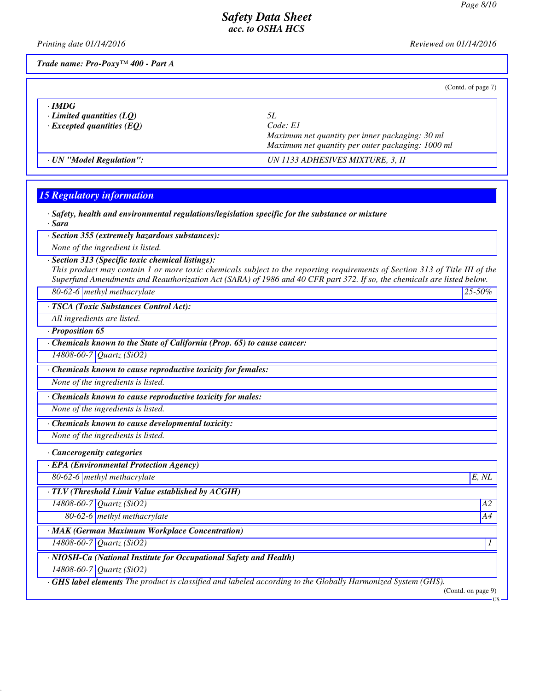*Printing date 01/14/2016 Reviewed on 01/14/2016*

*Trade name: Pro-Poxy™ 400 - Part A*

(Contd. of page 7)

| · IMDG                           |                                                   |
|----------------------------------|---------------------------------------------------|
| $\cdot$ Limited quantities (LO)  | 51.                                               |
| $\cdot$ Excepted quantities (EQ) | Code: E1                                          |
|                                  | Maximum net quantity per inner packaging: 30 ml   |
|                                  | Maximum net quantity per outer packaging: 1000 ml |
| · UN "Model Regulation":         | UN 1133 ADHESIVES MIXTURE, 3, II                  |

# *15 Regulatory information*

| $\cdot$ Safety, health and environmental regulations/legislation specific for the substance or mixture<br>· Sara                                                                                                                                                                                            |                           |
|-------------------------------------------------------------------------------------------------------------------------------------------------------------------------------------------------------------------------------------------------------------------------------------------------------------|---------------------------|
| · Section 355 (extremely hazardous substances):                                                                                                                                                                                                                                                             |                           |
| None of the ingredient is listed.                                                                                                                                                                                                                                                                           |                           |
| · Section 313 (Specific toxic chemical listings):<br>This product may contain 1 or more toxic chemicals subject to the reporting requirements of Section 313 of Title III of the<br>Superfund Amendments and Reauthorization Act (SARA) of 1986 and 40 CFR part 372. If so, the chemicals are listed below. |                           |
| 80-62-6 methyl methacrylate                                                                                                                                                                                                                                                                                 | 25-50%                    |
| · TSCA (Toxic Substances Control Act):                                                                                                                                                                                                                                                                      |                           |
| All ingredients are listed.                                                                                                                                                                                                                                                                                 |                           |
| $\cdot$ Proposition 65                                                                                                                                                                                                                                                                                      |                           |
| Chemicals known to the State of California (Prop. 65) to cause cancer:                                                                                                                                                                                                                                      |                           |
| 14808-60-7 Quartz (SiO2)                                                                                                                                                                                                                                                                                    |                           |
| · Chemicals known to cause reproductive toxicity for females:                                                                                                                                                                                                                                               |                           |
| None of the ingredients is listed.                                                                                                                                                                                                                                                                          |                           |
| Chemicals known to cause reproductive toxicity for males:                                                                                                                                                                                                                                                   |                           |
| None of the ingredients is listed.                                                                                                                                                                                                                                                                          |                           |
| · Chemicals known to cause developmental toxicity:                                                                                                                                                                                                                                                          |                           |
| None of the ingredients is listed.                                                                                                                                                                                                                                                                          |                           |
| · Cancerogenity categories                                                                                                                                                                                                                                                                                  |                           |
| · EPA (Environmental Protection Agency)                                                                                                                                                                                                                                                                     |                           |
| 80-62-6 methyl methacrylate                                                                                                                                                                                                                                                                                 | E, NL                     |
| · TLV (Threshold Limit Value established by ACGIH)                                                                                                                                                                                                                                                          |                           |
| 14808-60-7 Quartz (SiO2)                                                                                                                                                                                                                                                                                    | A2                        |
| 80-62-6 methyl methacrylate                                                                                                                                                                                                                                                                                 | A4                        |
| · MAK (German Maximum Workplace Concentration)                                                                                                                                                                                                                                                              |                           |
| 14808-60-7 Quartz (SiO2)                                                                                                                                                                                                                                                                                    | 1                         |
| · NIOSH-Ca (National Institute for Occupational Safety and Health)                                                                                                                                                                                                                                          |                           |
| 14808-60-7 Quartz (SiO2)                                                                                                                                                                                                                                                                                    |                           |
| <b>GHS label elements</b> The product is classified and labeled according to the Globally Harmonized System (GHS).                                                                                                                                                                                          | (Contd. on page 9)<br>US. |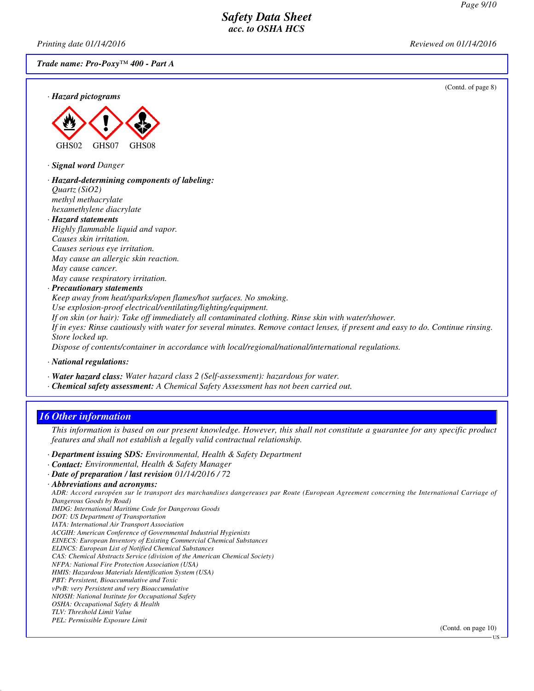*Printing date 01/14/2016 Reviewed on 01/14/2016*

*Trade name: Pro-Poxy™ 400 - Part A*

(Contd. of page 8)





*· Signal word Danger*

- *· Hazard-determining components of labeling: Quartz (SiO2) methyl methacrylate hexamethylene diacrylate*
- *· Hazard statements Highly flammable liquid and vapor. Causes skin irritation. Causes serious eye irritation. May cause an allergic skin reaction. May cause cancer. May cause respiratory irritation.*

#### *· Precautionary statements*

*Keep away from heat/sparks/open flames/hot surfaces. No smoking. Use explosion-proof electrical/ventilating/lighting/equipment. If on skin (or hair): Take off immediately all contaminated clothing. Rinse skin with water/shower. If in eyes: Rinse cautiously with water for several minutes. Remove contact lenses, if present and easy to do. Continue rinsing. Store locked up. Dispose of contents/container in accordance with local/regional/national/international regulations.*

*· National regulations:*

- *· Water hazard class: Water hazard class 2 (Self-assessment): hazardous for water.*
- *· Chemical safety assessment: A Chemical Safety Assessment has not been carried out.*

### *16 Other information*

*This information is based on our present knowledge. However, this shall not constitute a guarantee for any specific product features and shall not establish a legally valid contractual relationship.*

- *· Department issuing SDS: Environmental, Health & Safety Department*
- *· Contact: Environmental, Health & Safety Manager*
- *· Date of preparation / last revision 01/14/2016 / 72*
- *· Abbreviations and acronyms:*

*ADR: Accord européen sur le transport des marchandises dangereuses par Route (European Agreement concerning the International Carriage of Dangerous Goods by Road)*

*IMDG: International Maritime Code for Dangerous Goods*

*DOT: US Department of Transportation IATA: International Air Transport Association*

*ACGIH: American Conference of Governmental Industrial Hygienists*

*EINECS: European Inventory of Existing Commercial Chemical Substances*

*ELINCS: European List of Notified Chemical Substances*

*CAS: Chemical Abstracts Service (division of the American Chemical Society)*

*NFPA: National Fire Protection Association (USA)*

*HMIS: Hazardous Materials Identification System (USA)*

*PBT: Persistent, Bioaccumulative and Toxic*

*vPvB: very Persistent and very Bioaccumulative*

*NIOSH: National Institute for Occupational Safety OSHA: Occupational Safety & Health*

*TLV: Threshold Limit Value*

*PEL: Permissible Exposure Limit*

(Contd. on page 10)

US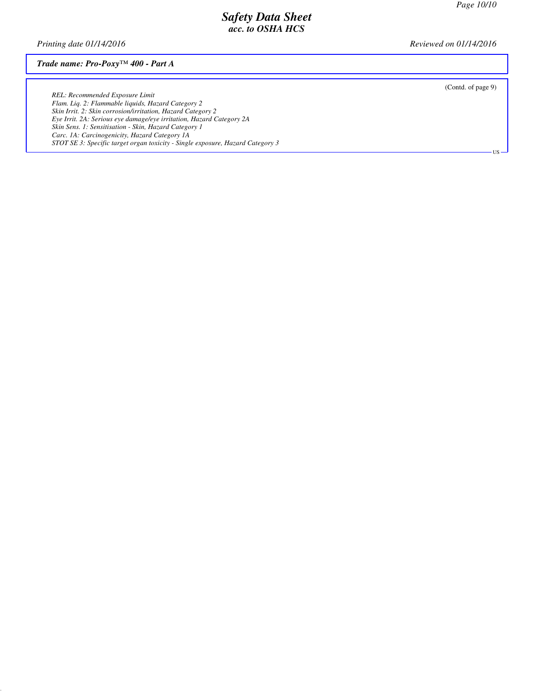*Printing date 01/14/2016 Reviewed on 01/14/2016*

#### *Trade name: Pro-Poxy™ 400 - Part A*

(Contd. of page 9)

US

*REL: Recommended Exposure Limit Flam. Liq. 2: Flammable liquids, Hazard Category 2 Skin Irrit. 2: Skin corrosion/irritation, Hazard Category 2 Eye Irrit. 2A: Serious eye damage/eye irritation, Hazard Category 2A Skin Sens. 1: Sensitisation - Skin, Hazard Category 1 Carc. 1A: Carcinogenicity, Hazard Category 1A STOT SE 3: Specific target organ toxicity - Single exposure, Hazard Category 3*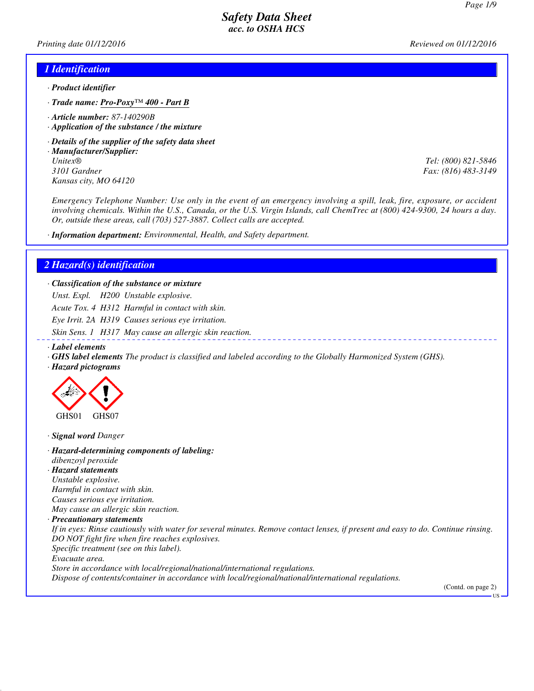*Printing date 01/12/2016 Reviewed on 01/12/2016*

#### *1 Identification*

- *· Product identifier*
- *· Trade name: Pro-Poxy™ 400 Part B*
- *· Article number: 87-140290B*
- *· Application of the substance / the mixture*
- *· Details of the supplier of the safety data sheet*
- *· Manufacturer/Supplier: Unitex® Tel: (800) 821-5846 3101 Gardner Fax: (816) 483-3149 Kansas city, MO 64120*

*Emergency Telephone Number: Use only in the event of an emergency involving a spill, leak, fire, exposure, or accident involving chemicals. Within the U.S., Canada, or the U.S. Virgin Islands, call ChemTrec at (800) 424-9300, 24 hours a day. Or, outside these areas, call (703) 527-3887. Collect calls are accepted.*

*· Information department: Environmental, Health, and Safety department.*

#### *2 Hazard(s) identification*

*· Classification of the substance or mixture*

*Unst. Expl. H200 Unstable explosive.*

*Acute Tox. 4 H312 Harmful in contact with skin.*

*Eye Irrit. 2A H319 Causes serious eye irritation.*

*Skin Sens. 1 H317 May cause an allergic skin reaction.*

- *· Label elements*
- *· GHS label elements The product is classified and labeled according to the Globally Harmonized System (GHS).*
- *· Hazard pictograms*



*· Signal word Danger*

- *· Hazard-determining components of labeling: dibenzoyl peroxide*
- *· Hazard statements Unstable explosive.*

*Harmful in contact with skin. Causes serious eye irritation.*

*May cause an allergic skin reaction.*

*· Precautionary statements*

*If in eyes: Rinse cautiously with water for several minutes. Remove contact lenses, if present and easy to do. Continue rinsing. DO NOT fight fire when fire reaches explosives.*

*Specific treatment (see on this label).*

*Evacuate area.*

*Store in accordance with local/regional/national/international regulations.*

*Dispose of contents/container in accordance with local/regional/national/international regulations.*

(Contd. on page 2)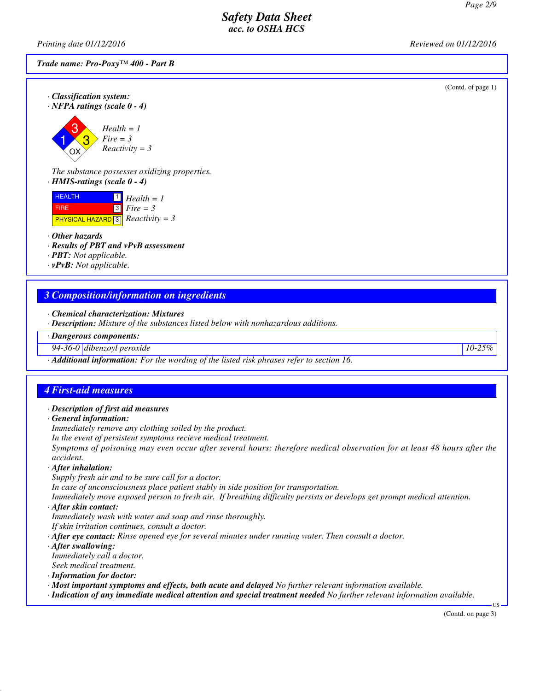*Printing date 01/12/2016 Reviewed on 01/12/2016*

*Trade name: Pro-Poxy™ 400 - Part B*

(Contd. of page 1)

*· Classification system: · NFPA ratings (scale 0 - 4)*

1 3 3 OX *Health = 1 Fire = 3 Reactivity = 3*

*The substance possesses oxidizing properties. · HMIS-ratings (scale 0 - 4)*

| <b>HEALTH</b>                                  | $\mathbf{1}$ Health = 1 |
|------------------------------------------------|-------------------------|
| <b>FIRE</b>                                    | $\boxed{3}$ Fire = 3    |
| <b>PHYSICAL HAZARD</b> 3 <i>Reactivity</i> = 3 |                         |

#### *· Other hazards*

*· Results of PBT and vPvB assessment*

*· PBT: Not applicable.*

*· vPvB: Not applicable.*

### *3 Composition/information on ingredients*

*· Chemical characterization: Mixtures*

*· Description: Mixture of the substances listed below with nonhazardous additions.*

*· Dangerous components:*

*94-36-0 dibenzoyl peroxide 10-25%*

*· Additional information: For the wording of the listed risk phrases refer to section 16.*

#### *4 First-aid measures*

- *· Description of first aid measures*
- *· General information:*

*Immediately remove any clothing soiled by the product.*

*In the event of persistent symptoms recieve medical treatment.*

*Symptoms of poisoning may even occur after several hours; therefore medical observation for at least 48 hours after the accident.*

#### *· After inhalation:*

*Supply fresh air and to be sure call for a doctor. In case of unconsciousness place patient stably in side position for transportation. Immediately move exposed person to fresh air. If breathing difficulty persists or develops get prompt medical attention.*

*· After skin contact:*

*Immediately wash with water and soap and rinse thoroughly.*

*If skin irritation continues, consult a doctor.*

*· After eye contact: Rinse opened eye for several minutes under running water. Then consult a doctor.*

*· After swallowing:*

*Immediately call a doctor. Seek medical treatment.*

*· Information for doctor:*

*· Most important symptoms and effects, both acute and delayed No further relevant information available.*

*· Indication of any immediate medical attention and special treatment needed No further relevant information available.*

(Contd. on page 3)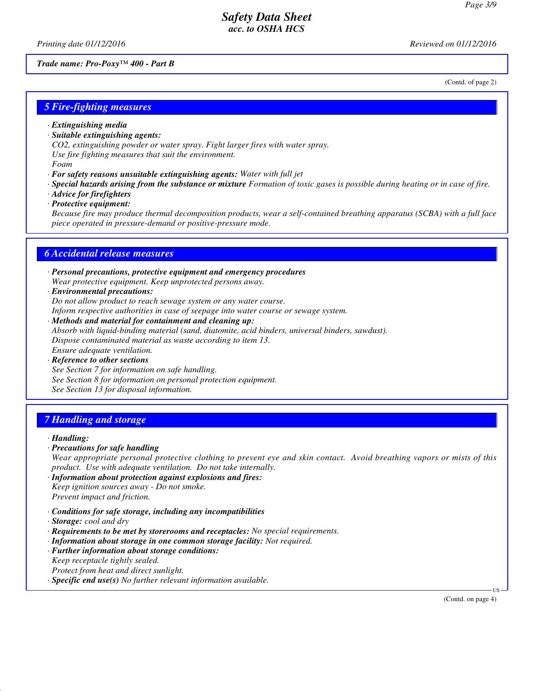*Printing date 01/12/2016 Reviewed on 01/12/2016*

(Contd. of page 2)

#### *Trade name: Pro-Poxy™ 400 - Part B*

*5 Fire-fighting measures*

- *· Extinguishing media*
- *· Suitable extinguishing agents:*
- *CO2, extinguishing powder or water spray. Fight larger fires with water spray.*

*Use fire fighting measures that suit the environment.*

*Foam*

- *· For safety reasons unsuitable extinguishing agents: Water with full jet*
- *· Special hazards arising from the substance or mixture Formation of toxic gases is possible during heating or in case of fire.*
- *· Advice for firefighters*
- *· Protective equipment:*

*Because fire may produce thermal decomposition products, wear a self-contained breathing apparatus (SCBA) with a full face piece operated in pressure-demand or positive-pressure mode.*

#### *6 Accidental release measures*

- *· Personal precautions, protective equipment and emergency procedures Wear protective equipment. Keep unprotected persons away.*
- *· Environmental precautions: Do not allow product to reach sewage system or any water course. Inform respective authorities in case of seepage into water course or sewage system.*
- *· Methods and material for containment and cleaning up: Absorb with liquid-binding material (sand, diatomite, acid binders, universal binders, sawdust). Dispose contaminated material as waste according to item 13. Ensure adequate ventilation.*
- *· Reference to other sections See Section 7 for information on safe handling. See Section 8 for information on personal protection equipment. See Section 13 for disposal information.*

#### *7 Handling and storage*

#### *· Handling:*

*· Precautions for safe handling*

*Wear appropriate personal protective clothing to prevent eye and skin contact. Avoid breathing vapors or mists of this product. Use with adequate ventilation. Do not take internally.*

- *· Information about protection against explosions and fires: Keep ignition sources away - Do not smoke. Prevent impact and friction.*
- *· Conditions for safe storage, including any incompatibilities*
- *· Storage: cool and dry*
- *· Requirements to be met by storerooms and receptacles: No special requirements.*
- *· Information about storage in one common storage facility: Not required.*
- *· Further information about storage conditions: Keep receptacle tightly sealed. Protect from heat and direct sunlight.*
- *· Specific end use(s) No further relevant information available.*

(Contd. on page 4)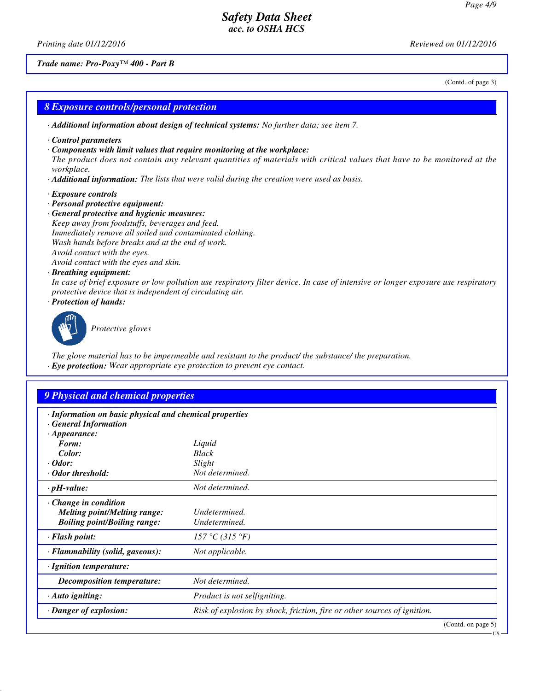*Printing date 01/12/2016 Reviewed on 01/12/2016*

*Trade name: Pro-Poxy™ 400 - Part B*

(Contd. of page 3)

#### *8 Exposure controls/personal protection*

- *· Additional information about design of technical systems: No further data; see item 7.*
- *· Control parameters*
- *· Components with limit values that require monitoring at the workplace:*

*The product does not contain any relevant quantities of materials with critical values that have to be monitored at the workplace.*

- *· Additional information: The lists that were valid during the creation were used as basis.*
- *· Exposure controls*
- *· Personal protective equipment:*
- *· General protective and hygienic measures: Keep away from foodstuffs, beverages and feed. Immediately remove all soiled and contaminated clothing. Wash hands before breaks and at the end of work. Avoid contact with the eyes.*

*Avoid contact with the eyes and skin.*

#### *· Breathing equipment:*

*In case of brief exposure or low pollution use respiratory filter device. In case of intensive or longer exposure use respiratory protective device that is independent of circulating air.*

*· Protection of hands:*



*Protective gloves*

*The glove material has to be impermeable and resistant to the product/ the substance/ the preparation. · Eye protection: Wear appropriate eye protection to prevent eye contact.*

# *9 Physical and chemical properties*

| · Information on basic physical and chemical properties |                                                                          |                       |
|---------------------------------------------------------|--------------------------------------------------------------------------|-----------------------|
| <b>General Information</b>                              |                                                                          |                       |
| $\cdot$ Appearance:                                     |                                                                          |                       |
| Form:                                                   | Liquid                                                                   |                       |
| Color:                                                  | <b>Black</b>                                                             |                       |
| $\cdot$ Odor:                                           | Slight                                                                   |                       |
| · Odor threshold:                                       | Not determined.                                                          |                       |
| $\cdot$ pH-value:                                       | Not determined.                                                          |                       |
| $\cdot$ Change in condition                             |                                                                          |                       |
| <b>Melting point/Melting range:</b>                     | Undetermined.                                                            |                       |
| <b>Boiling point/Boiling range:</b>                     | Undetermined.                                                            |                       |
| · Flash point:                                          | 157 °C (315 °F)                                                          |                       |
| · Flammability (solid, gaseous):                        | Not applicable.                                                          |                       |
| · Ignition temperature:                                 |                                                                          |                       |
| Decomposition temperature:                              | Not determined.                                                          |                       |
| $\cdot$ Auto igniting:                                  | Product is not selfigniting.                                             |                       |
| · Danger of explosion:                                  | Risk of explosion by shock, friction, fire or other sources of ignition. |                       |
|                                                         |                                                                          | (Contd. on page $5$ ) |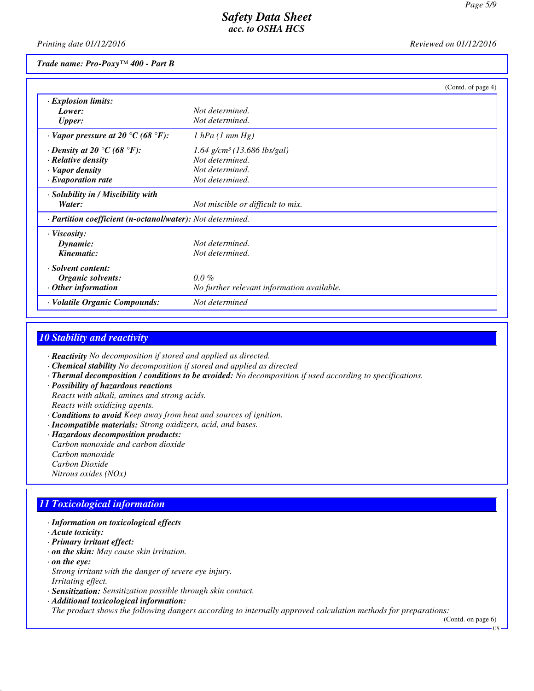*Printing date 01/12/2016 Reviewed on 01/12/2016*

#### *Trade name: Pro-Poxy™ 400 - Part B*

|                                                                       |                                            | (Contd. of page 4) |
|-----------------------------------------------------------------------|--------------------------------------------|--------------------|
| · Explosion limits:                                                   |                                            |                    |
| Lower:                                                                | Not determined.                            |                    |
| <b>Upper:</b>                                                         | Not determined.                            |                    |
| $\cdot$ Vapor pressure at 20 $\rm{^{\circ}C}$ (68 $\rm{^{\circ}F}$ ): | $1$ hPa $(1$ mm Hg)                        |                    |
| $\cdot$ Density at 20 $\degree$ C (68 $\degree$ F):                   | $1.64$ g/cm <sup>3</sup> (13.686 lbs/gal)  |                    |
| · Relative density                                                    | Not determined.                            |                    |
| · Vapor density                                                       | Not determined.                            |                    |
| $\cdot$ Evaporation rate                                              | Not determined.                            |                    |
| · Solubility in / Miscibility with                                    |                                            |                    |
| Water:                                                                | Not miscible or difficult to mix.          |                    |
| · Partition coefficient (n-octanol/water): Not determined.            |                                            |                    |
| $\cdot$ Viscosity:                                                    |                                            |                    |
| Dynamic:                                                              | Not determined.                            |                    |
| Kinematic:                                                            | Not determined.                            |                    |
| · Solvent content:                                                    |                                            |                    |
| <b>Organic solvents:</b>                                              | $0.0\%$                                    |                    |
| $·$ Other information                                                 | No further relevant information available. |                    |
| · Volatile Organic Compounds:                                         | Not determined                             |                    |

### *10 Stability and reactivity*

*· Reactivity No decomposition if stored and applied as directed.*

- *· Chemical stability No decomposition if stored and applied as directed*
- *· Thermal decomposition / conditions to be avoided: No decomposition if used according to specifications.*
- *· Possibility of hazardous reactions Reacts with alkali, amines and strong acids. Reacts with oxidizing agents.*
- *· Conditions to avoid Keep away from heat and sources of ignition.*
- *· Incompatible materials: Strong oxidizers, acid, and bases.*
- *· Hazardous decomposition products: Carbon monoxide and carbon dioxide Carbon monoxide Carbon Dioxide Nitrous oxides (NOx)*

### *11 Toxicological information*

- *· Information on toxicological effects*
- *· Acute toxicity:*
- *· Primary irritant effect:*
- *· on the skin: May cause skin irritation.*
- *· on the eye: Strong irritant with the danger of severe eye injury. Irritating effect.*
- *· Sensitization: Sensitization possible through skin contact.*
- *· Additional toxicological information:*

*The product shows the following dangers according to internally approved calculation methods for preparations:*

(Contd. on page 6) US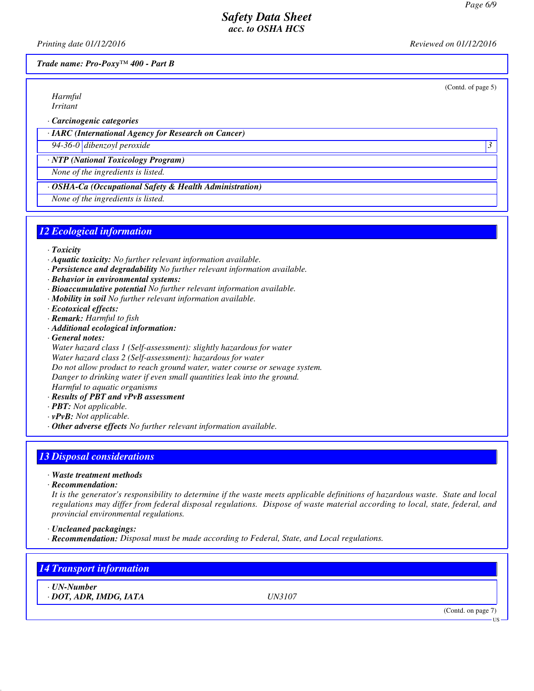(Contd. of page 5)

### *Safety Data Sheet acc. to OSHA HCS*

*Printing date 01/12/2016 Reviewed on 01/12/2016*

*Trade name: Pro-Poxy™ 400 - Part B*

*Harmful Irritant*

*· Carcinogenic categories*

*· IARC (International Agency for Research on Cancer)*

*94-36-0 dibenzoyl peroxide 3* 

*· NTP (National Toxicology Program)*

*None of the ingredients is listed.*

#### *· OSHA-Ca (Occupational Safety & Health Administration)*

*None of the ingredients is listed.*

#### *12 Ecological information*

- *· Toxicity*
- *· Aquatic toxicity: No further relevant information available.*
- *· Persistence and degradability No further relevant information available.*
- *· Behavior in environmental systems:*
- *· Bioaccumulative potential No further relevant information available.*
- *· Mobility in soil No further relevant information available.*
- *· Ecotoxical effects:*
- *· Remark: Harmful to fish*
- *· Additional ecological information:*
- *· General notes:*

*Water hazard class 1 (Self-assessment): slightly hazardous for water Water hazard class 2 (Self-assessment): hazardous for water Do not allow product to reach ground water, water course or sewage system. Danger to drinking water if even small quantities leak into the ground. Harmful to aquatic organisms*

- *· Results of PBT and vPvB assessment*
- *· PBT: Not applicable.*
- *· vPvB: Not applicable.*
- *· Other adverse effects No further relevant information available.*

### *13 Disposal considerations*

- *· Waste treatment methods*
- *· Recommendation:*

*It is the generator's responsibility to determine if the waste meets applicable definitions of hazardous waste. State and local regulations may differ from federal disposal regulations. Dispose of waste material according to local, state, federal, and provincial environmental regulations.*

- *· Uncleaned packagings:*
- *· Recommendation: Disposal must be made according to Federal, State, and Local regulations.*

### *14 Transport information*

*· UN-Number · DOT, ADR, IMDG, IATA UN3107*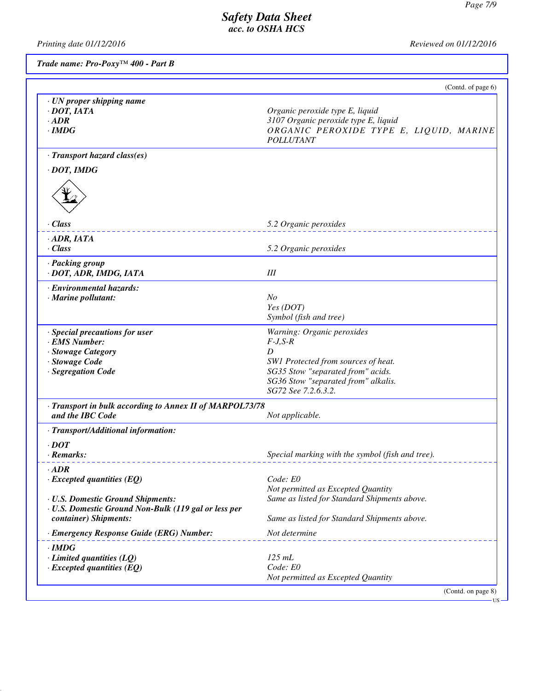US

# *Safety Data Sheet acc. to OSHA HCS*

*Printing date 01/12/2016 Reviewed on 01/12/2016*

*Trade name: Pro-Poxy™ 400 - Part B*

|                                                                                           | (Contd. of page 6)                                                                                                                     |
|-------------------------------------------------------------------------------------------|----------------------------------------------------------------------------------------------------------------------------------------|
| · UN proper shipping name<br>$\cdot$ DOT, IATA<br>$\cdot$ ADR<br>$\cdot$ IMDG             | Organic peroxide type E, liquid<br>3107 Organic peroxide type E, liquid<br>ORGANIC PEROXIDE TYPE E, LIQUID, MARINE<br><b>POLLUTANT</b> |
| · Transport hazard class(es)                                                              |                                                                                                                                        |
| $\cdot$ DOT, IMDG                                                                         |                                                                                                                                        |
|                                                                                           |                                                                                                                                        |
| · Class                                                                                   | 5.2 Organic peroxides                                                                                                                  |
| $·$ <i>ADR, IATA</i>                                                                      |                                                                                                                                        |
| $\cdot$ Class                                                                             | 5.2 Organic peroxides                                                                                                                  |
| · Packing group<br>· DOT, ADR, IMDG, IATA                                                 | III                                                                                                                                    |
| · Environmental hazards:<br>· Marine pollutant:                                           | N <sub>O</sub><br>Yes (DOT)<br>Symbol (fish and tree)                                                                                  |
| · Special precautions for user                                                            | Warning: Organic peroxides                                                                                                             |
| · EMS Number:                                                                             | $F-J, S-R$                                                                                                                             |
| · Stowage Category<br>· Stowage Code                                                      | D<br>SW1 Protected from sources of heat.                                                                                               |
| · Segregation Code                                                                        | SG35 Stow "separated from" acids.                                                                                                      |
|                                                                                           | SG36 Stow "separated from" alkalis.<br>SG72 See 7.2.6.3.2.                                                                             |
| · Transport in bulk according to Annex II of MARPOL73/78<br>and the IBC Code              | Not applicable.                                                                                                                        |
| · Transport/Additional information:                                                       |                                                                                                                                        |
| $\cdot$ DOT                                                                               |                                                                                                                                        |
| · Remarks:                                                                                | Special marking with the symbol (fish and tree).                                                                                       |
| $\cdot$ ADR                                                                               |                                                                                                                                        |
| $\cdot$ Excepted quantities (EQ)                                                          | Code: E0                                                                                                                               |
|                                                                                           | Not permitted as Excepted Quantity                                                                                                     |
| · U.S. Domestic Ground Shipments:<br>· U.S. Domestic Ground Non-Bulk (119 gal or less per | Same as listed for Standard Shipments above.                                                                                           |
| container) Shipments:                                                                     | Same as listed for Standard Shipments above.                                                                                           |
| · Emergency Response Guide (ERG) Number:                                                  | Not determine                                                                                                                          |
| $\cdot$ IMDG                                                                              |                                                                                                                                        |
|                                                                                           | $125$ mL                                                                                                                               |
| $\cdot$ Limited quantities (LQ)                                                           |                                                                                                                                        |
| $\cdot$ Excepted quantities (EQ)                                                          | Code: E0<br>Not permitted as Excepted Quantity                                                                                         |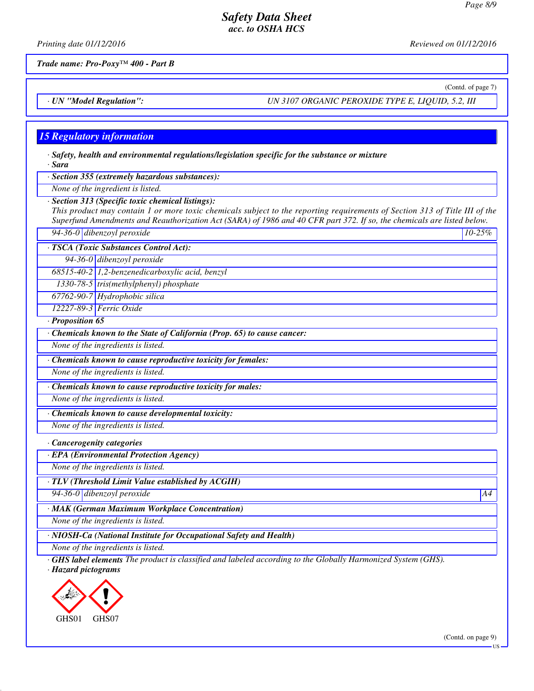*Printing date 01/12/2016 Reviewed on 01/12/2016*

*Trade name: Pro-Poxy™ 400 - Part B*

(Contd. of page 7)

*· UN "Model Regulation": UN 3107 ORGANIC PEROXIDE TYPE E, LIQUID, 5.2, III*

### *15 Regulatory information*

*· Safety, health and environmental regulations/legislation specific for the substance or mixture · Sara*

*· Section 355 (extremely hazardous substances):*

*None of the ingredient is listed.*

*· Section 313 (Specific toxic chemical listings):*

*This product may contain 1 or more toxic chemicals subject to the reporting requirements of Section 313 of Title III of the Superfund Amendments and Reauthorization Act (SARA) of 1986 and 40 CFR part 372. If so, the chemicals are listed below.*

*94-36-0 dibenzoyl peroxide 10-25%*

*· TSCA (Toxic Substances Control Act):*

*94-36-0 dibenzoyl peroxide*

*68515-40-2 1,2-benzenedicarboxylic acid, benzyl*

*1330-78-5 tris(methylphenyl) phosphate*

*67762-90-7 Hydrophobic silica*

*12227-89-3 Ferric Oxide*

*· Proposition 65*

*· Chemicals known to the State of California (Prop. 65) to cause cancer:*

*None of the ingredients is listed.*

*· Chemicals known to cause reproductive toxicity for females:*

*None of the ingredients is listed.*

*· Chemicals known to cause reproductive toxicity for males:*

*None of the ingredients is listed.*

*· Chemicals known to cause developmental toxicity:*

*None of the ingredients is listed.*

*· Cancerogenity categories*

*· EPA (Environmental Protection Agency)*

*None of the ingredients is listed.*

*· TLV (Threshold Limit Value established by ACGIH)*

*94-36-0 dibenzoyl peroxide A4*

*· MAK (German Maximum Workplace Concentration)*

*None of the ingredients is listed.*

*· NIOSH-Ca (National Institute for Occupational Safety and Health)*

*None of the ingredients is listed.*

*· GHS label elements The product is classified and labeled according to the Globally Harmonized System (GHS).*

*· Hazard pictograms*



(Contd. on page 9)